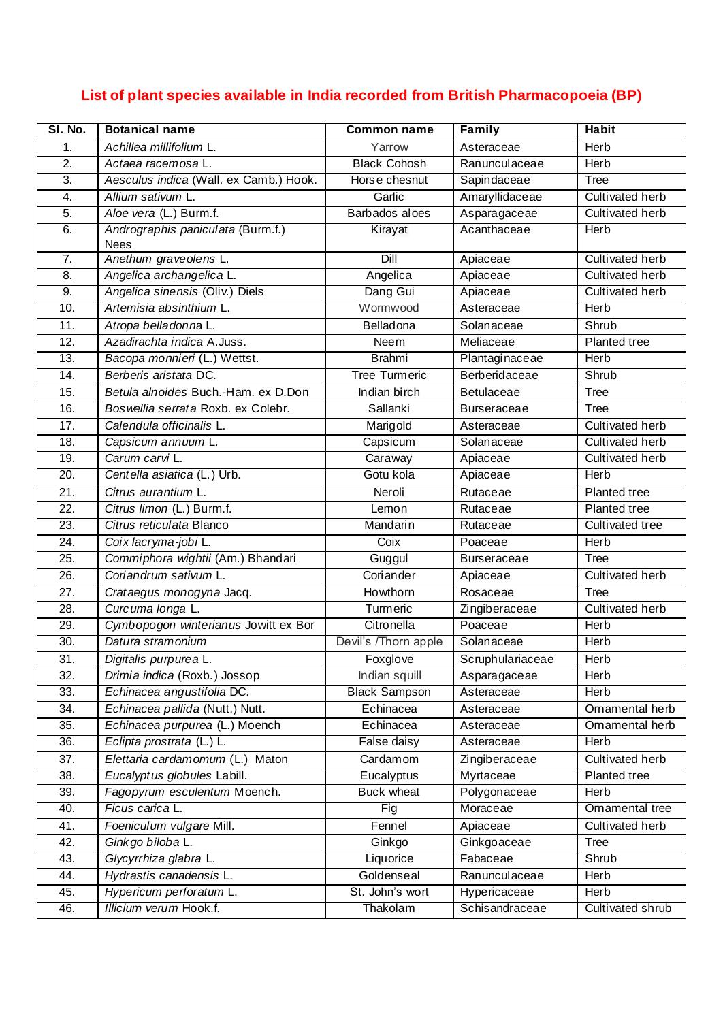## **List of plant species available in India recorded from British Pharmacopoeia (BP)**

| SI. No.           | <b>Botanical name</b>                            | <b>Common name</b>   | Family             | <b>Habit</b>           |
|-------------------|--------------------------------------------------|----------------------|--------------------|------------------------|
| 1.                | Achillea millifolium L.                          | Yarrow               | Asteraceae         | Herb                   |
| 2.                | Actaea racemosa L.                               | <b>Black Cohosh</b>  | Ranunculaceae      | Herb                   |
| 3.                | Aesculus indica (Wall. ex Camb.) Hook.           | Horse chesnut        | Sapindaceae        | <b>Tree</b>            |
| 4.                | Allium sativum L.                                | Garlic               | Amaryllidaceae     | Cultivated herb        |
| 5.                | Aloe vera (L.) Burm.f.                           | Barbados aloes       | Asparagaceae       | Cultivated herb        |
| 6.                | Andrographis paniculata (Burm.f.)<br><b>Nees</b> | Kirayat              | Acanthaceae        | Herb                   |
| 7.                | Anethum graveolens L.                            | Dill                 | Apiaceae           | Cultivated herb        |
| 8.                | Angelica archangelica L.                         | Angelica             | Apiaceae           | Cultivated herb        |
| 9.                | Angelica sinensis (Oliv.) Diels                  | Dang Gui             | Apiaceae           | Cultivated herb        |
| 10.               | Artemisia absinthium L.                          | Wormwood             | Asteraceae         | Herb                   |
| 11.               | Atropa belladonna L.                             | Belladona            | Solanaceae         | Shrub                  |
| 12.               | Azadirachta indica A.Juss.                       | Neem                 | Meliaceae          | Planted tree           |
| 13.               | Bacopa monnieri (L.) Wettst.                     | <b>Brahmi</b>        | Plantaginaceae     | Herb                   |
| 14.               | Berberis aristata DC.                            | Tree Turmeric        | Berberidaceae      | Shrub                  |
| 15.               | Betula alnoides Buch.-Ham. ex D.Don              | Indian birch         | Betulaceae         | <b>Tree</b>            |
| 16.               | Bos wellia serrata Roxb. ex Colebr.              | Sallanki             | <b>Burseraceae</b> | Tree                   |
| 17.               | Calendula officinalis L.                         | Marigold             | Asteraceae         | Cultivated herb        |
| 18.               | Capsicum annuum L.                               | Capsicum             | Solanaceae         | Cultivated herb        |
| 19.               | Carum carvi L.                                   | Caraway              | Apiaceae           | Cultivated herb        |
| $\overline{20}$ . | Centella asiatica (L.) Urb.                      | Gotu kola            | Apiaceae           | Herb                   |
| 21.               | Citrus aurantium L.                              | Neroli               | Rutaceae           | Planted tree           |
| 22.               | Citrus limon (L.) Burm.f.                        | Lemon                | Rutaceae           | Planted tree           |
| $\overline{23}$ . | Citrus reticulata Blanco                         | Mandarin             | Rutaceae           | Cultivated tree        |
| 24.               | Coix lacryma-jobi L.                             | Coix                 | Poaceae            | Herb                   |
| 25.               | Commiphora wightii (Arn.) Bhandari               | Guggul               | <b>Burseraceae</b> | Tree                   |
| 26.               | Coriandrum sativum L.                            | Coriander            | Apiaceae           | <b>Cultivated herb</b> |
| 27.               | Crataegus monogyna Jacq.                         | Howthorn             | Rosaceae           | Tree                   |
| 28.               | Curcuma longa L.                                 | Turmeric             | Zingiberaceae      | Cultivated herb        |
| 29.               | Cymbopogon winterianus Jowitt ex Bor             | Citronella           | Poaceae            | Herb                   |
| $\overline{30}$ . | Datura stramonium                                | Devil's /Thorn apple | Solanaceae         | <b>Herb</b>            |
| 31.               | Digitalis purpurea L.                            | Foxglove             | Scruphulariaceae   | Herb                   |
| 32.               | Drimia indica (Roxb.) Jossop                     | Indian squill        | Asparagaceae       | Herb                   |
| 33.               | Echinacea angustifolia DC.                       | <b>Black Sampson</b> | Asteraceae         | <b>Herb</b>            |
| 34.               | Echinacea pallida (Nutt.) Nutt.                  | Echinacea            | Asteraceae         | Ornamental herb        |
| 35.               | Echinacea purpurea (L.) Moench                   | Echinacea            | Asteraceae         | Ornamental herb        |
| 36.               | Eclipta prostrata (L.) L.                        | False daisy          | Asteraceae         | Herb                   |
| 37.               | Elettaria cardamomum (L.) Maton                  | Cardamom             | Zingiberaceae      | Cultivated herb        |
| 38.               | Eucalyptus globules Labill.                      | Eucalyptus           | Myrtaceae          | Planted tree           |
| 39.               | Fagopyrum esculentum Moench.                     | <b>Buck wheat</b>    | Polygonaceae       | Herb                   |
| 40.               | Ficus carica L.                                  | Fig                  | Moraceae           | Ornamental tree        |
| 41.               | Foeniculum vulgare Mill.                         | Fennel               | Apiaceae           | Cultivated herb        |
| 42.               | Ginkgo biloba L.                                 | Ginkgo               | Ginkgoaceae        | Tree                   |
| 43.               | Glycyrrhiza glabra L.                            | Liquorice            | Fabaceae           | Shrub                  |
| 44.               | Hydrastis canadensis L.                          | Goldenseal           | Ranunculaceae      | Herb                   |
| 45.               | Hypericum perforatum L.                          | St. John's wort      | Hypericaceae       | Herb                   |
| 46.               | Illicium verum Hook.f.                           | Thakolam             | Schisandraceae     | Cultivated shrub       |